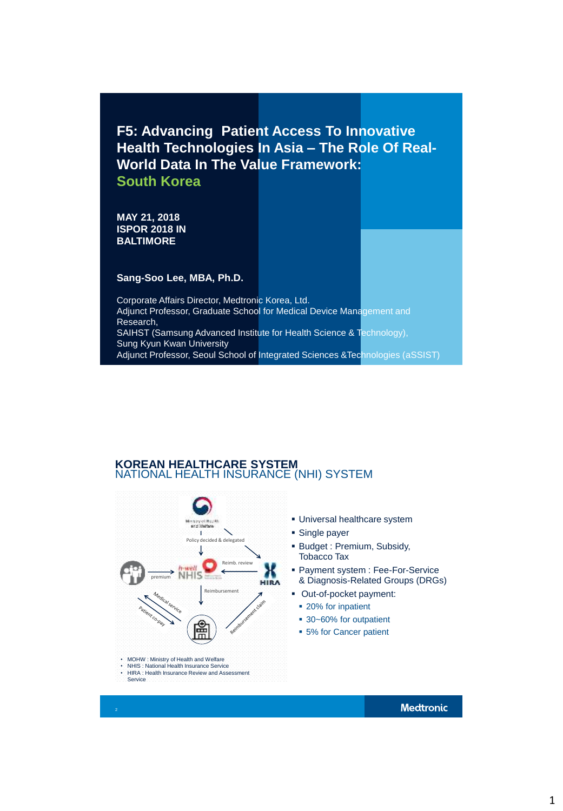**F5: Advancing Patient Access To Innovative Health Technologies In Asia – The Role Of Real-World Data In The Value Framework: South Korea**

**MAY 21, 2018 ISPOR 2018 IN BALTIMORE**

**Sang-Soo Lee, MBA, Ph.D.**

Corporate Affairs Director, Medtronic Korea, Ltd. Adjunct Professor, Graduate School for Medical Device Management and Research, SAIHST (Samsung Advanced Institute for Health Science & Technology), Sung Kyun Kwan University Adjunct Professor, Seoul School of Integrated Sciences & Technologies (aSSIST)

## **KOREAN HEALTHCARE SYSTEM**  NATIONAL HEALTH INSURANCE (NHI) SYSTEM



• HIRA : Health Insurance Review and Assessment Service

**Medtronic** 

1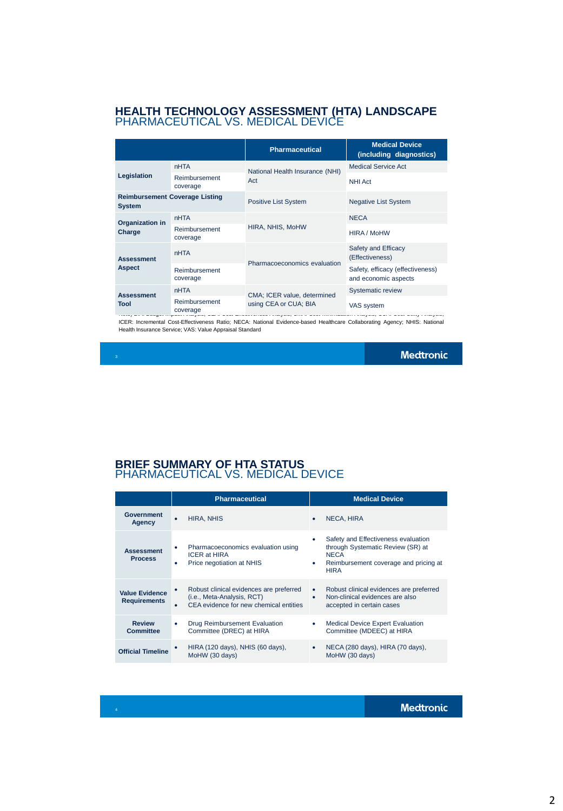## **HEALTH TECHNOLOGY ASSESSMENT (HTA) LANDSCAPE** PHARMACEUTICAL VS. MEDICAL DEVICE

|                                                        |                           | <b>Pharmaceutical</b>                                | <b>Medical Device</b><br>(including diagnostics)         |
|--------------------------------------------------------|---------------------------|------------------------------------------------------|----------------------------------------------------------|
| Legislation                                            | <b>nHTA</b>               | National Health Insurance (NHI)<br>Act               | <b>Medical Service Act</b>                               |
|                                                        | Reimbursement<br>coverage |                                                      | <b>NHI Act</b>                                           |
| <b>Reimbursement Coverage Listing</b><br><b>System</b> |                           | <b>Positive List System</b>                          | <b>Negative List System</b>                              |
| Organization in<br>Charge                              | <b>nHTA</b>               | HIRA, NHIS, MoHW                                     | <b>NECA</b>                                              |
|                                                        | Reimbursement<br>coverage |                                                      | HIRA / MoHW                                              |
| <b>Assessment</b><br><b>Aspect</b>                     | <b>nHTA</b>               | Pharmacoeconomics evaluation                         | Safety and Efficacy<br>(Effectiveness)                   |
|                                                        | Reimbursement<br>coverage |                                                      | Safety, efficacy (effectiveness)<br>and economic aspects |
| <b>Assessment</b><br>Tool                              | <b>nHTA</b>               | CMA; ICER value, determined<br>using CEA or CUA; BIA | Systematic review                                        |
|                                                        | Reimbursement<br>coverage |                                                      | VAS system                                               |

Note) BIA: Budget Impact Analysis; CEA: Cost-Effectiveness Analysis; CMA: Cost-Minimization Analysis; CUA: Cost-Utility Analysis; ICER: Incremental Cost-Effectiveness Ratio; NECA: National Evidence-based Healthcare Collaborating Agency; NHIS: National Health Insurance Service; VAS: Value Appraisal Standard overage<br>occuracyologiezh e eo e

**Medtronic** 

## **BRIEF SUMMARY OF HTA STATUS** PHARMACEUTICAL VS. MEDICAL DEVICE

|                                              | <b>Pharmaceutical</b>                                                                                                             | <b>Medical Device</b>                                                                                                                                |  |
|----------------------------------------------|-----------------------------------------------------------------------------------------------------------------------------------|------------------------------------------------------------------------------------------------------------------------------------------------------|--|
| <b>Government</b><br><b>Agency</b>           | <b>HIRA, NHIS</b><br>$\bullet$                                                                                                    | <b>NECA, HIRA</b><br>٠                                                                                                                               |  |
| <b>Assessment</b><br><b>Process</b>          | Pharmacoeconomics evaluation using<br>٠<br><b>ICER at HIRA</b><br>Price negotiation at NHIS<br>٠                                  | Safety and Effectiveness evaluation<br>through Systematic Review (SR) at<br><b>NECA</b><br>Reimbursement coverage and pricing at<br>٠<br><b>HIRA</b> |  |
| <b>Value Evidence</b><br><b>Requirements</b> | Robust clinical evidences are preferred<br>$\bullet$<br>(i.e., Meta-Analysis, RCT)<br>CEA evidence for new chemical entities<br>٠ | Robust clinical evidences are preferred<br>$\bullet$<br>Non-clinical evidences are also<br>$\bullet$<br>accepted in certain cases                    |  |
| <b>Review</b><br><b>Committee</b>            | Drug Reimbursement Evaluation<br>٠<br>Committee (DREC) at HIRA                                                                    | <b>Medical Device Expert Evaluation</b><br>$\bullet$<br>Committee (MDEEC) at HIRA                                                                    |  |
| <b>Official Timeline</b>                     | HIRA (120 days), NHIS (60 days),<br>MoHW (30 days)                                                                                | NECA (280 days), HIRA (70 days),<br>MoHW (30 days)                                                                                                   |  |

**Medtronic**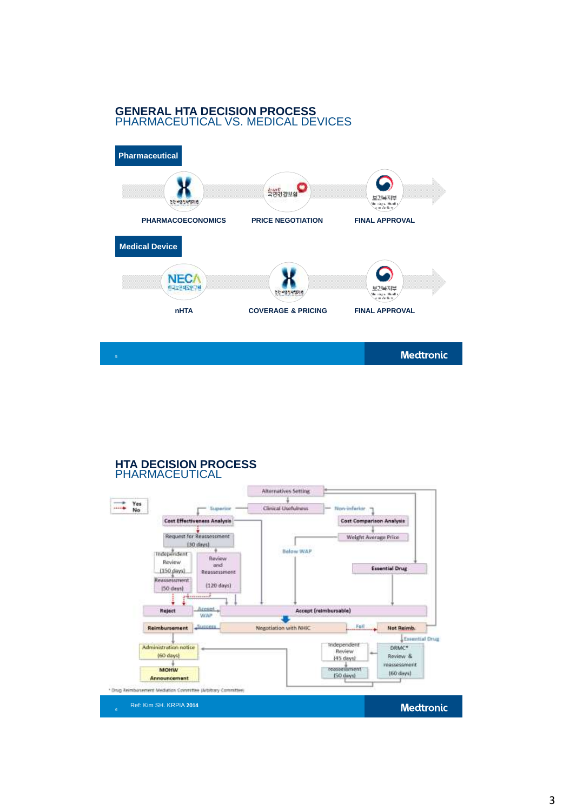# **GENERAL HTA DECISION PROCESS**  PHARMACEUTICAL VS. MEDICAL DEVICES



### **HTA DECISION PROCESS PHARMACEUTICAL**

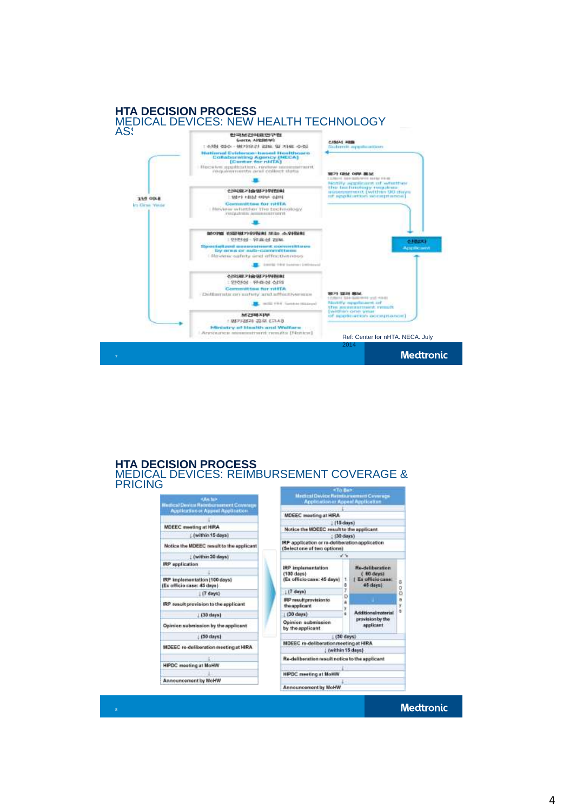

#### **HTA DECISION PROCESS** MEDICAL DEVICES: REIMBURSEMENT COVERAGE & PRICINGп

| <b>CAR fall</b>                                                                         | <b>Medical Device Reimburgement Coverage</b><br><b>Application or Appeal Application</b> |  |  |
|-----------------------------------------------------------------------------------------|------------------------------------------------------------------------------------------|--|--|
| <b>Hedical Device Rembursement Coverage</b><br><b>Application or Appent Application</b> |                                                                                          |  |  |
|                                                                                         | MDEEC meeting at HIRA                                                                    |  |  |
|                                                                                         | (15 days)                                                                                |  |  |
| <b>MDEEC</b> meeting at HIRA                                                            | Notice the MOEEC result to the applicant.                                                |  |  |
| Dwithin 15 days)                                                                        | (30 days)                                                                                |  |  |
| Notice the MDEEC result to the applicant                                                | IRP application or re-deliberation application<br>(Select one of two options)            |  |  |
| (within 30 days)                                                                        | $\mathcal{A},\mathcal{A}$                                                                |  |  |
| IRP application                                                                         | <b>Re-deliberation</b>                                                                   |  |  |
|                                                                                         | <b>IRP</b> implementation<br>(100 days)<br>$(60$ days)                                   |  |  |
| IRP Implementation (100 days)<br>(Ex officio case: 45 days).                            | (Ex officio case: 45 days)<br>Ex officio case:<br>Б<br>45 days<br>8<br>ö                 |  |  |
| (7 days)                                                                                | y<br>(7 days)<br>Đ                                                                       |  |  |
| IRP result provision to the applicant                                                   | D<br><b>IRP resultprovision to</b><br>$\overline{a}$<br>the applicant<br>y               |  |  |
| [ (30 days)                                                                             | ۰<br>Additionalmaterial<br>$1630$ days)                                                  |  |  |
| Opinion submission by the applicant                                                     | provision by the<br>Opinion submission<br>applicant<br>by the applicant                  |  |  |
| (50 days)                                                                               | (50 days)                                                                                |  |  |
| MDEEC re-defiberation meeting at HIRA.                                                  | MDEEC re-deliberation meeting at HIRA                                                    |  |  |
|                                                                                         | (within 15 days)                                                                         |  |  |
|                                                                                         | Re-deliberation result notice to the applicant                                           |  |  |
| <b>HIPDC</b> meeting at MoHW                                                            |                                                                                          |  |  |
|                                                                                         | <b>HIPDC</b> meeting at MoHW                                                             |  |  |
| <b>Announcement by MoHW</b>                                                             |                                                                                          |  |  |
|                                                                                         | Announcement by MoHW                                                                     |  |  |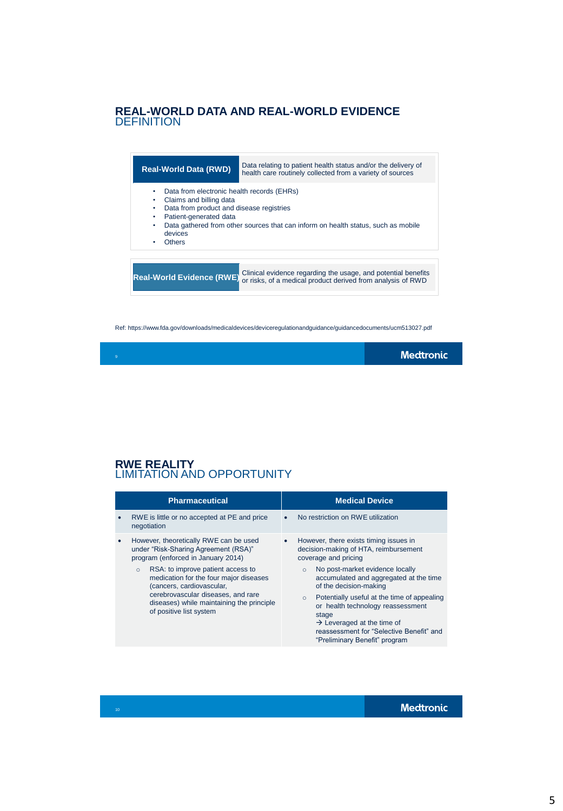# **REAL-WORLD DATA AND REAL-WORLD EVIDENCE DEFINITION**



Ref: https://www.fda.gov/downloads/medicaldevices/deviceregulationandguidance/guidancedocuments/ucm513027.pdf

# **RWE REALITY** LIMITATION AND OPPORTUNITY

| <b>Pharmaceutical</b>                                                                                                                                                                                                                                                                                                                                                  | <b>Medical Device</b>                                                                                                                                                                                                                                                                                                                                                                                                                                         |
|------------------------------------------------------------------------------------------------------------------------------------------------------------------------------------------------------------------------------------------------------------------------------------------------------------------------------------------------------------------------|---------------------------------------------------------------------------------------------------------------------------------------------------------------------------------------------------------------------------------------------------------------------------------------------------------------------------------------------------------------------------------------------------------------------------------------------------------------|
| RWE is little or no accepted at PE and price<br>$\bullet$<br>negotiation                                                                                                                                                                                                                                                                                               | No restriction on RWE utilization<br>$\bullet$                                                                                                                                                                                                                                                                                                                                                                                                                |
| However, theoretically RWE can be used<br>$\bullet$<br>under "Risk-Sharing Agreement (RSA)"<br>program (enforced in January 2014)<br>RSA: to improve patient access to<br>$\circ$<br>medication for the four major diseases<br>(cancers, cardiovascular,<br>cerebrovascular diseases, and rare<br>diseases) while maintaining the principle<br>of positive list system | However, there exists timing issues in<br>٠<br>decision-making of HTA, reimbursement<br>coverage and pricing<br>No post-market evidence locally<br>$\circ$<br>accumulated and aggregated at the time<br>of the decision-making<br>Potentially useful at the time of appealing<br>$\circ$<br>or health technology reassessment<br>stage<br>$\rightarrow$ Leveraged at the time of<br>reassessment for "Selective Benefit" and<br>"Preliminary Benefit" program |